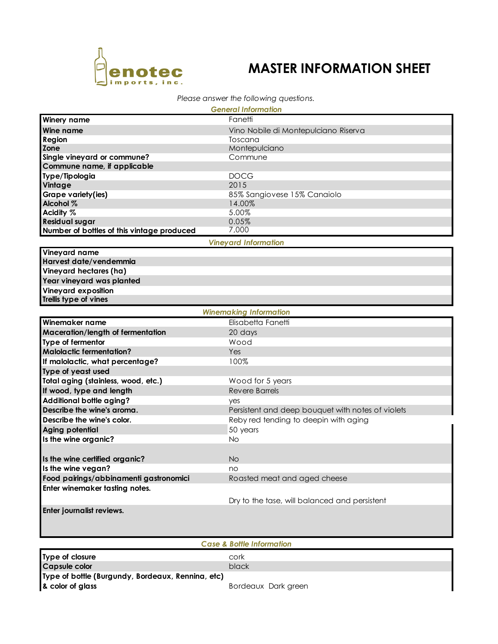

## **MASTER INFORMATION SHEET**

## *Please answer the following questions.*

| <b>General Information</b>                 |                                      |  |
|--------------------------------------------|--------------------------------------|--|
| <b>Winery name</b>                         | Fanetti                              |  |
| <b>Wine name</b>                           | Vino Nobile di Montepulciano Riserva |  |
| <b>Region</b>                              | Toscana                              |  |
| <b>Zone</b>                                | Montepulciano                        |  |
| Single vineyard or commune?                | Commune                              |  |
| Commune name, if applicable                |                                      |  |
| Type/Tipologia                             | <b>DOCG</b>                          |  |
| <b>Vintage</b>                             | 2015                                 |  |
| Grape variety(ies)                         | 85% Sangiovese 15% Canaiolo          |  |
| Alcohol %                                  | 14.00%                               |  |
| Acidity %                                  | 5.00%                                |  |
| <b>Residual sugar</b>                      | 0.05%                                |  |
| Number of bottles of this vintage produced | 7,000                                |  |

*Vineyard Information*

**Vineyard name Harvest date/vendemmia Vineyard hectares (ha) Year vineyard was planted Vineyard exposition Trellis type of vines**

| <b>Winemaking Information</b>          |                                                   |  |
|----------------------------------------|---------------------------------------------------|--|
| Winemaker name                         | Elisabetta Fanetti                                |  |
| Maceration/length of fermentation      | 20 days                                           |  |
| Type of fermentor                      | Wood                                              |  |
| <b>Malolactic fermentation?</b>        | <b>Yes</b>                                        |  |
| If malolactic, what percentage?        | 100%                                              |  |
| Type of yeast used                     |                                                   |  |
| Total aging (stainless, wood, etc.)    | Wood for 5 years                                  |  |
| If wood, type and length               | Revere Barrels                                    |  |
| <b>Additional bottle aging?</b>        | yes                                               |  |
| Describe the wine's aroma.             | Persistent and deep bouquet with notes of violets |  |
| Describe the wine's color.             | Reby red tending to deepin with aging             |  |
| Aging potential                        | 50 years                                          |  |
| Is the wine organic?                   | <b>No</b>                                         |  |
|                                        |                                                   |  |
| Is the wine certified organic?         | N <sub>O</sub>                                    |  |
| Is the wine vegan?                     | no                                                |  |
| Food pairings/abbinamenti gastronomici | Roasted meat and aged cheese                      |  |
| Enter winemaker tasting notes.         |                                                   |  |
|                                        | Dry to the tase, will balanced and persistent     |  |
| Enter journalist reviews.              |                                                   |  |
|                                        |                                                   |  |
|                                        |                                                   |  |
|                                        |                                                   |  |
| <b>Case &amp; Bottle Information</b>   |                                                   |  |
| Type of closure                        | cork                                              |  |
| <b>Capsule color</b>                   | black                                             |  |
|                                        |                                                   |  |

**Type of bottle (Burgundy, Bordeaux, Rennina, etc)**